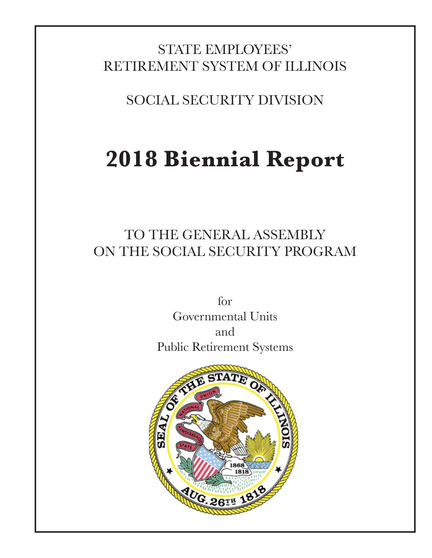# STATE EMPLOYEES' RETIREMENT SYSTEM OF ILLINOIS

SOCIAL SECURITY DIVISION

# **2018 Biennial Report**

# TO THE GENERAL ASSEMBLY ON THE SOCIAL SECURITY PROGRAM

for Governmental Units and Public Retirement Systems

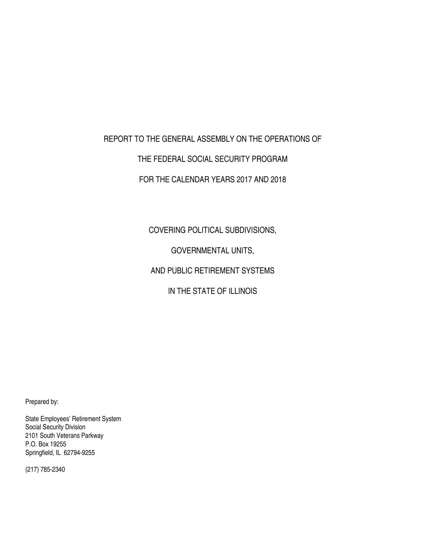#### REPORT TO THE GENERAL ASSEMBLY ON THE OPERATIONS OF

#### THE FEDERAL SOCIAL SECURITY PROGRAM

#### FOR THE CALENDAR YEARS 2017 AND 2018

COVERING POLITICAL SUBDIVISIONS,

GOVERNMENTAL UNITS,

AND PUBLIC RETIREMENT SYSTEMS

IN THE STATE OF ILLINOIS

Prepared by:

State Employees' Retirement System Social Security Division 2101 South Veterans Parkway P.O. Box 19255 Springfield, IL 62794-9255

(217) 785-2340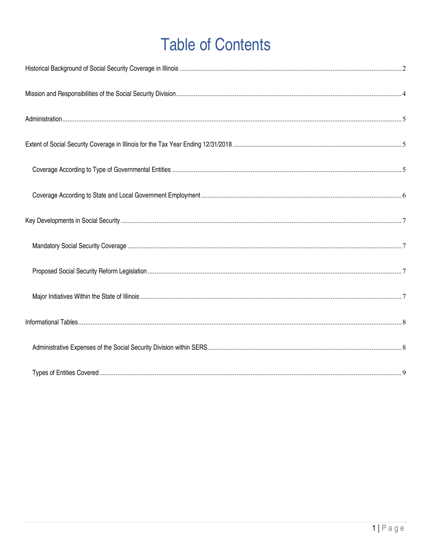# **Table of Contents**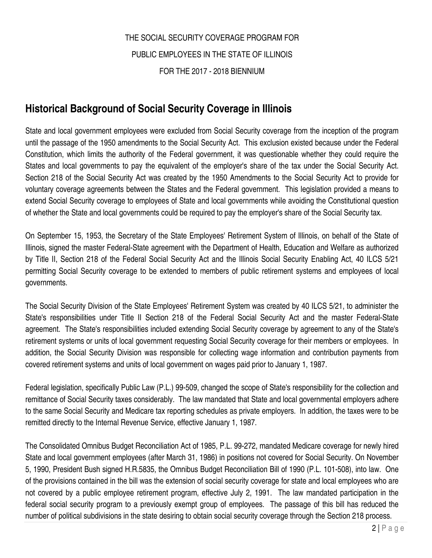# THE SOCIAL SECURITY COVERAGE PROGRAM FOR PUBLIC EMPLOYEES IN THE STATE OF ILLINOIS FOR THE 2017 - 2018 BIENNIUM

## **Historical Background of Social Security Coverage in Illinois**

State and local government employees were excluded from Social Security coverage from the inception of the program until the passage of the 1950 amendments to the Social Security Act. This exclusion existed because under the Federal Constitution, which limits the authority of the Federal government, it was questionable whether they could require the States and local governments to pay the equivalent of the employer's share of the tax under the Social Security Act. Section 218 of the Social Security Act was created by the 1950 Amendments to the Social Security Act to provide for voluntary coverage agreements between the States and the Federal government. This legislation provided a means to extend Social Security coverage to employees of State and local governments while avoiding the Constitutional question of whether the State and local governments could be required to pay the employer's share of the Social Security tax.

On September 15, 1953, the Secretary of the State Employees' Retirement System of Illinois, on behalf of the State of Illinois, signed the master Federal-State agreement with the Department of Health, Education and Welfare as authorized by Title II, Section 218 of the Federal Social Security Act and the Illinois Social Security Enabling Act, 40 ILCS 5/21 permitting Social Security coverage to be extended to members of public retirement systems and employees of local governments.

The Social Security Division of the State Employees' Retirement System was created by 40 ILCS 5/21, to administer the State's responsibilities under Title II Section 218 of the Federal Social Security Act and the master Federal-State agreement. The State's responsibilities included extending Social Security coverage by agreement to any of the State's retirement systems or units of local government requesting Social Security coverage for their members or employees. In addition, the Social Security Division was responsible for collecting wage information and contribution payments from covered retirement systems and units of local government on wages paid prior to January 1, 1987.

Federal legislation, specifically Public Law (P.L.) 99-509, changed the scope of State's responsibility for the collection and remittance of Social Security taxes considerably. The law mandated that State and local governmental employers adhere to the same Social Security and Medicare tax reporting schedules as private employers. In addition, the taxes were to be remitted directly to the Internal Revenue Service, effective January 1, 1987.

The Consolidated Omnibus Budget Reconciliation Act of 1985, P.L. 99-272, mandated Medicare coverage for newly hired State and local government employees (after March 31, 1986) in positions not covered for Social Security. On November 5, 1990, President Bush signed H.R.5835, the Omnibus Budget Reconciliation Bill of 1990 (P.L. 101-508), into law. One of the provisions contained in the bill was the extension of social security coverage for state and local employees who are not covered by a public employee retirement program, effective July 2, 1991. The law mandated participation in the federal social security program to a previously exempt group of employees. The passage of this bill has reduced the number of political subdivisions in the state desiring to obtain social security coverage through the Section 218 process.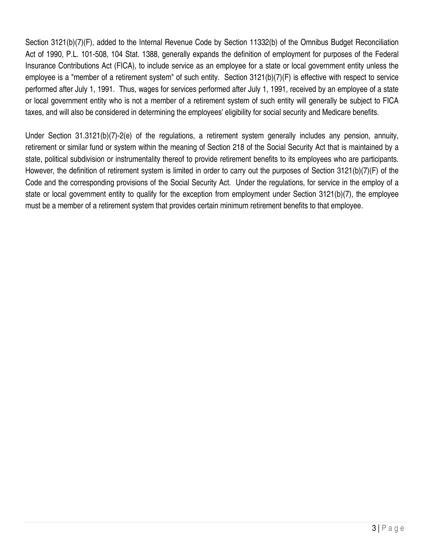Section 3121(b)(7)(F), added to the Internal Revenue Code by Section 11332(b) of the Omnibus Budget Reconciliation Act of 1990, P.L. 101-508, 104 Stat. 1388, generally expands the definition of employment for purposes of the Federal Insurance Contributions Act (FICA), to include service as an employee for a state or local government entity unless the employee is a "member of a retirement system" of such entity. Section 3121(b)(7)(F) is effective with respect to service performed after July 1, 1991. Thus, wages for services performed after July 1, 1991, received by an employee of a state or local government entity who is not a member of a retirement system of such entity will generally be subject to FICA taxes, and will also be considered in determining the employees' eligibility for social security and Medicare benefits.

Under Section 31.3121(b)(7)-2(e) of the regulations, a retirement system generally includes any pension, annuity, retirement or similar fund or system within the meaning of Section 218 of the Social Security Act that is maintained by a state, political subdivision or instrumentality thereof to provide retirement benefits to its employees who are participants. However, the definition of retirement system is limited in order to carry out the purposes of Section 3121(b)(7)(F) of the Code and the corresponding provisions of the Social Security Act. Under the regulations, for service in the employ of a state or local government entity to qualify for the exception from employment under Section 3121(b)(7), the employee must be a member of a retirement system that provides certain minimum retirement benefits to that employee.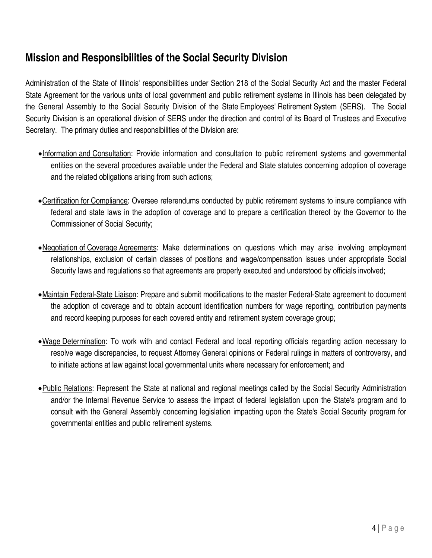## **Mission and Responsibilities of the Social Security Division**

Administration of the State of Illinois' responsibilities under Section 218 of the Social Security Act and the master Federal State Agreement for the various units of local government and public retirement systems in Illinois has been delegated by the General Assembly to the Social Security Division of the State Employees' Retirement System (SERS). The Social Security Division is an operational division of SERS under the direction and control of its Board of Trustees and Executive Secretary. The primary duties and responsibilities of the Division are:

- Information and Consultation: Provide information and consultation to public retirement systems and governmental entities on the several procedures available under the Federal and State statutes concerning adoption of coverage and the related obligations arising from such actions;
- Certification for Compliance: Oversee referendums conducted by public retirement systems to insure compliance with federal and state laws in the adoption of coverage and to prepare a certification thereof by the Governor to the Commissioner of Social Security;
- •Negotiation of Coverage Agreements: Make determinations on questions which may arise involving employment relationships, exclusion of certain classes of positions and wage/compensation issues under appropriate Social Security laws and regulations so that agreements are properly executed and understood by officials involved;
- Maintain Federal-State Liaison: Prepare and submit modifications to the master Federal-State agreement to document the adoption of coverage and to obtain account identification numbers for wage reporting, contribution payments and record keeping purposes for each covered entity and retirement system coverage group;
- Wage Determination: To work with and contact Federal and local reporting officials regarding action necessary to resolve wage discrepancies, to request Attorney General opinions or Federal rulings in matters of controversy, and to initiate actions at law against local governmental units where necessary for enforcement; and
- Public Relations: Represent the State at national and regional meetings called by the Social Security Administration and/or the Internal Revenue Service to assess the impact of federal legislation upon the State's program and to consult with the General Assembly concerning legislation impacting upon the State's Social Security program for governmental entities and public retirement systems.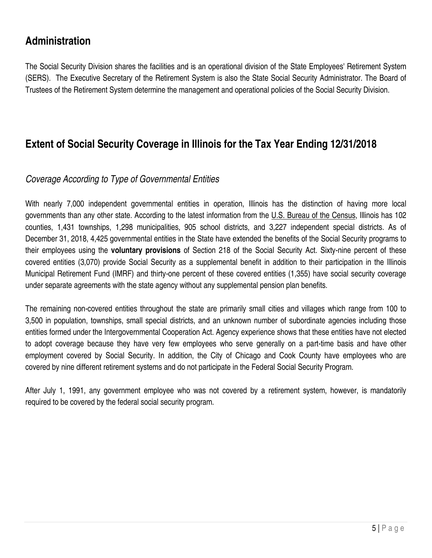## **Administration**

The Social Security Division shares the facilities and is an operational division of the State Employees' Retirement System (SERS). The Executive Secretary of the Retirement System is also the State Social Security Administrator. The Board of Trustees of the Retirement System determine the management and operational policies of the Social Security Division.

### **Extent of Social Security Coverage in Illinois for the Tax Year Ending 12/31/2018**

#### *Coverage According to Type of Governmental Entities*

With nearly 7,000 independent governmental entities in operation, Illinois has the distinction of having more local governments than any other state. According to the latest information from the U.S. Bureau of the Census, Illinois has 102 counties, 1,431 townships, 1,298 municipalities, 905 school districts, and 3,227 independent special districts. As of December 31, 2018, 4,425 governmental entities in the State have extended the benefits of the Social Security programs to their employees using the **voluntary provisions** of Section 218 of the Social Security Act. Sixty-nine percent of these covered entities (3,070) provide Social Security as a supplemental benefit in addition to their participation in the Illinois Municipal Retirement Fund (IMRF) and thirty-one percent of these covered entities (1,355) have social security coverage under separate agreements with the state agency without any supplemental pension plan benefits.

The remaining non-covered entities throughout the state are primarily small cities and villages which range from 100 to 3,500 in population, townships, small special districts, and an unknown number of subordinate agencies including those entities formed under the Intergovernmental Cooperation Act. Agency experience shows that these entities have not elected to adopt coverage because they have very few employees who serve generally on a part-time basis and have other employment covered by Social Security. In addition, the City of Chicago and Cook County have employees who are covered by nine different retirement systems and do not participate in the Federal Social Security Program.

After July 1, 1991, any government employee who was not covered by a retirement system, however, is mandatorily required to be covered by the federal social security program.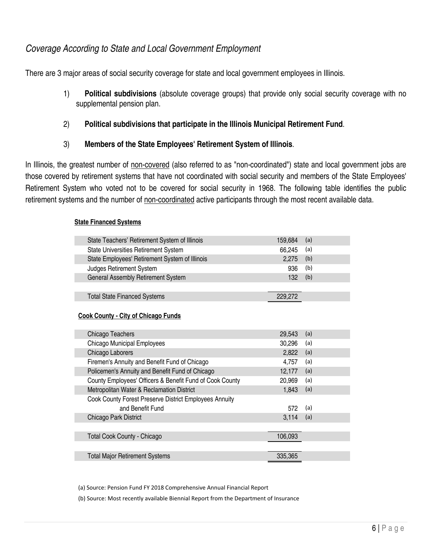#### *Coverage According to State and Local Government Employment*

There are 3 major areas of social security coverage for state and local government employees in Illinois.

1) **Political subdivisions** (absolute coverage groups) that provide only social security coverage with no supplemental pension plan.

#### 2) **Political subdivisions that participate in the Illinois Municipal Retirement Fund**.

3) **Members of the State Employees' Retirement System of Illinois**.

In Illinois, the greatest number of non-covered (also referred to as "non-coordinated") state and local government jobs are those covered by retirement systems that have not coordinated with social security and members of the State Employees' Retirement System who voted not to be covered for social security in 1968. The following table identifies the public retirement systems and the number of non-coordinated active participants through the most recent available data.

#### **State Financed Systems**

| State Teachers' Retirement System of Illinois            | 159,684 | (a) |  |
|----------------------------------------------------------|---------|-----|--|
| State Universities Retirement System                     | 66,245  | (a) |  |
| State Employees' Retirement System of Illinois           | 2,275   | (b) |  |
| Judges Retirement System                                 | 936     | (b) |  |
| <b>General Assembly Retirement System</b>                | 132     | (b) |  |
|                                                          |         |     |  |
| <b>Total State Financed Systems</b>                      | 229,272 |     |  |
|                                                          |         |     |  |
| <b>Cook County - City of Chicago Funds</b>               |         |     |  |
|                                                          |         |     |  |
| Chicago Teachers                                         | 29,543  | (a) |  |
| <b>Chicago Municipal Employees</b>                       | 30,296  | (a) |  |
| Chicago Laborers                                         | 2,822   | (a) |  |
| Firemen's Annuity and Benefit Fund of Chicago            | 4,757   | (a) |  |
| Policemen's Annuity and Benefit Fund of Chicago          | 12,177  | (a) |  |
| County Employees' Officers & Benefit Fund of Cook County | 20,969  | (a) |  |
| Metropolitan Water & Reclamation District                | 1,843   | (a) |  |
| Cook County Forest Preserve District Employees Annuity   |         |     |  |
| and Benefit Fund                                         | 572     | (a) |  |
| Chicago Park District                                    | 3,114   | (a) |  |
|                                                          |         |     |  |

Total Cook County - Chicago 106,093 Total Major Retirement Systems 335,365

(a) Source: Pension Fund FY 2018 Comprehensive Annual Financial Report

(b) Source: Most recently available Biennial Report from the Department of Insurance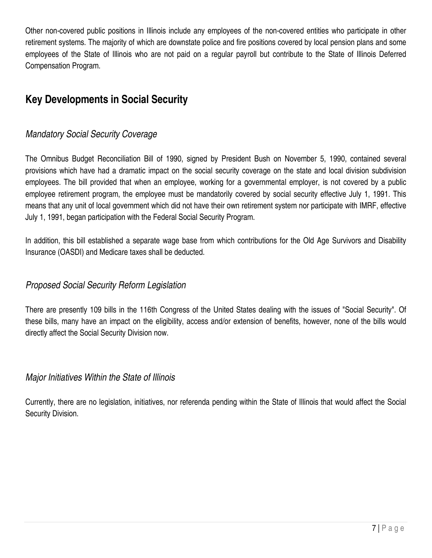Other non-covered public positions in Illinois include any employees of the non-covered entities who participate in other retirement systems. The majority of which are downstate police and fire positions covered by local pension plans and some employees of the State of Illinois who are not paid on a regular payroll but contribute to the State of Illinois Deferred Compensation Program.

# **Key Developments in Social Security**

#### *Mandatory Social Security Coverage*

The Omnibus Budget Reconciliation Bill of 1990, signed by President Bush on November 5, 1990, contained several provisions which have had a dramatic impact on the social security coverage on the state and local division subdivision employees. The bill provided that when an employee, working for a governmental employer, is not covered by a public employee retirement program, the employee must be mandatorily covered by social security effective July 1, 1991. This means that any unit of local government which did not have their own retirement system nor participate with IMRF, effective July 1, 1991, began participation with the Federal Social Security Program.

In addition, this bill established a separate wage base from which contributions for the Old Age Survivors and Disability Insurance (OASDI) and Medicare taxes shall be deducted.

#### *Proposed Social Security Reform Legislation*

There are presently 109 bills in the 116th Congress of the United States dealing with the issues of "Social Security". Of these bills, many have an impact on the eligibility, access and/or extension of benefits, however, none of the bills would directly affect the Social Security Division now.

#### *Major Initiatives Within the State of Illinois*

Currently, there are no legislation, initiatives, nor referenda pending within the State of Illinois that would affect the Social Security Division.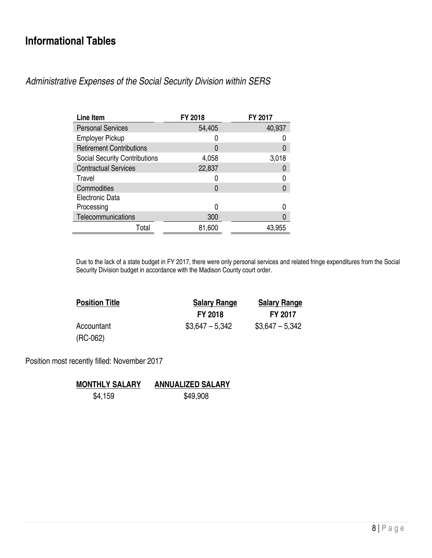### **Informational Tables**

*Administrative Expenses of the Social Security Division within SERS* 

| Line Item                            | FY 2018          | FY 2017 |
|--------------------------------------|------------------|---------|
| <b>Personal Services</b>             | 54,405           | 40,937  |
| <b>Employer Pickup</b>               |                  |         |
| <b>Retirement Contributions</b>      | 0                | 0       |
| <b>Social Security Contributions</b> | 4,058            | 3,018   |
| <b>Contractual Services</b>          | 22,837           | 0       |
| Travel                               |                  | 0       |
| Commodities                          | $\left( \right)$ |         |
| Electronic Data                      |                  |         |
| Processing                           |                  |         |
| Telecommunications                   | 300              |         |
| Total                                | 81,600           | 43,955  |

Due to the lack of a state budget in FY 2017, there were only personal services and related fringe expenditures from the Social Security Division budget in accordance with the Madison County court order.

| <b>Position Title</b> | <b>Salary Range</b> | <b>Salary Range</b> |  |
|-----------------------|---------------------|---------------------|--|
|                       | <b>FY 2018</b>      | <b>FY 2017</b>      |  |
| Accountant            | $$3,647 - 5,342$    | $$3,647 - 5,342$    |  |
| $(RC-062)$            |                     |                     |  |

Position most recently filled: November 2017

**MONTHLY SALARY ANNUALIZED SALARY** \$4,159 \$49,908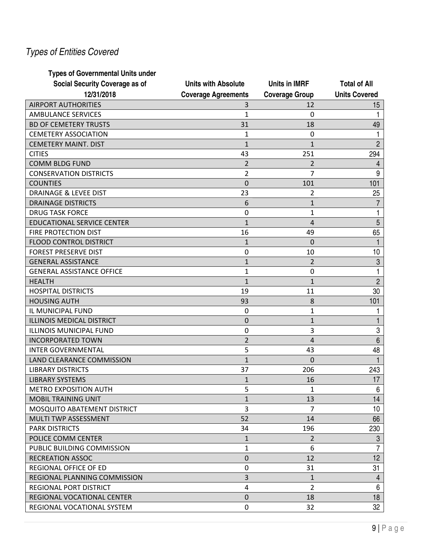# *Types of Entities Covered*

#### **Types of Governmental Units under**

| Social Security Coverage as of    | <b>Units with Absolute</b> | <b>Units in IMRF</b>  | <b>Total of All</b>  |
|-----------------------------------|----------------------------|-----------------------|----------------------|
| 12/31/2018                        | <b>Coverage Agreements</b> | <b>Coverage Group</b> | <b>Units Covered</b> |
| <b>AIRPORT AUTHORITIES</b>        | 3                          | 12                    | 15                   |
| <b>AMBULANCE SERVICES</b>         | 1                          | $\Omega$              |                      |
| <b>BD OF CEMETERY TRUSTS</b>      | 31                         | 18                    | 49                   |
| <b>CEMETERY ASSOCIATION</b>       | 1                          | 0                     |                      |
| <b>CEMETERY MAINT. DIST</b>       | $\overline{1}$             | $\mathbf{1}$          | $\overline{2}$       |
| <b>CITIES</b>                     | 43                         | 251                   | 294                  |
| <b>COMM BLDG FUND</b>             | $\overline{2}$             | $\overline{2}$        | 4                    |
| <b>CONSERVATION DISTRICTS</b>     | $\overline{2}$             | $\overline{7}$        | 9                    |
| <b>COUNTIES</b>                   | $\overline{0}$             | 101                   | 101                  |
| <b>DRAINAGE &amp; LEVEE DIST</b>  | 23                         | 2                     | 25                   |
| <b>DRAINAGE DISTRICTS</b>         | 6                          | $\mathbf{1}$          | $\overline{7}$       |
| <b>DRUG TASK FORCE</b>            | 0                          | $\mathbf{1}$          | 1                    |
| <b>EDUCATIONAL SERVICE CENTER</b> | $\mathbf{1}$               | 4                     | 5                    |
| <b>FIRE PROTECTION DIST</b>       | 16                         | 49                    | 65                   |
| FLOOD CONTROL DISTRICT            | $\mathbf{1}$               | $\Omega$              | 1                    |
| <b>FOREST PRESERVE DIST</b>       | 0                          | 10                    | 10                   |
| <b>GENERAL ASSISTANCE</b>         | $\mathbf{1}$               | $\overline{2}$        | 3                    |
| <b>GENERAL ASSISTANCE OFFICE</b>  | 1                          | 0                     | 1                    |
| <b>HEALTH</b>                     | $\mathbf{1}$               | $\mathbf{1}$          | $\overline{2}$       |
| <b>HOSPITAL DISTRICTS</b>         | 19                         | 11                    | 30                   |
| <b>HOUSING AUTH</b>               | 93                         | 8                     | 101                  |
| IL MUNICIPAL FUND                 | 0                          | $\mathbf{1}$          |                      |
| <b>ILLINOIS MEDICAL DISTRICT</b>  | 0                          | $\mathbf{1}$          |                      |
| <b>ILLINOIS MUNICIPAL FUND</b>    | 0                          | 3                     | 3                    |
| <b>INCORPORATED TOWN</b>          | $\overline{2}$             | $\overline{4}$        | $6\,$                |
| <b>INTER GOVERNMENTAL</b>         | 5                          | 43                    | 48                   |
| LAND CLEARANCE COMMISSION         | $\mathbf{1}$               | $\Omega$              | 1                    |
| <b>LIBRARY DISTRICTS</b>          | 37                         | 206                   | 243                  |
| <b>LIBRARY SYSTEMS</b>            | $\mathbf{1}$               | 16                    | 17                   |
| <b>METRO EXPOSITION AUTH</b>      | 5                          | 1                     | 6                    |
| <b>MOBIL TRAINING UNIT</b>        | $\mathbf{1}$               | 13                    | 14                   |
| MOSQUITO ABATEMENT DISTRICT       | 3                          | 7                     | 10                   |
| MULTI TWP ASSESSMENT              | 52                         | 14                    | 66                   |
| <b>PARK DISTRICTS</b>             | 34                         | 196                   | 230                  |
| POLICE COMM CENTER                | 1                          | $\overline{2}$        | $\mathfrak{B}$       |
| PUBLIC BUILDING COMMISSION        | 1                          | 6                     | $\overline{7}$       |
| <b>RECREATION ASSOC</b>           | $\mathbf 0$                | 12                    | 12                   |
| REGIONAL OFFICE OF ED             | 0                          | 31                    | 31                   |
| REGIONAL PLANNING COMMISSION      | 3                          | 1                     | 4                    |
| <b>REGIONAL PORT DISTRICT</b>     | 4                          | $\overline{2}$        | 6                    |
| REGIONAL VOCATIONAL CENTER        | $\pmb{0}$                  | 18                    | 18                   |
| REGIONAL VOCATIONAL SYSTEM        | 0                          | 32                    | 32                   |